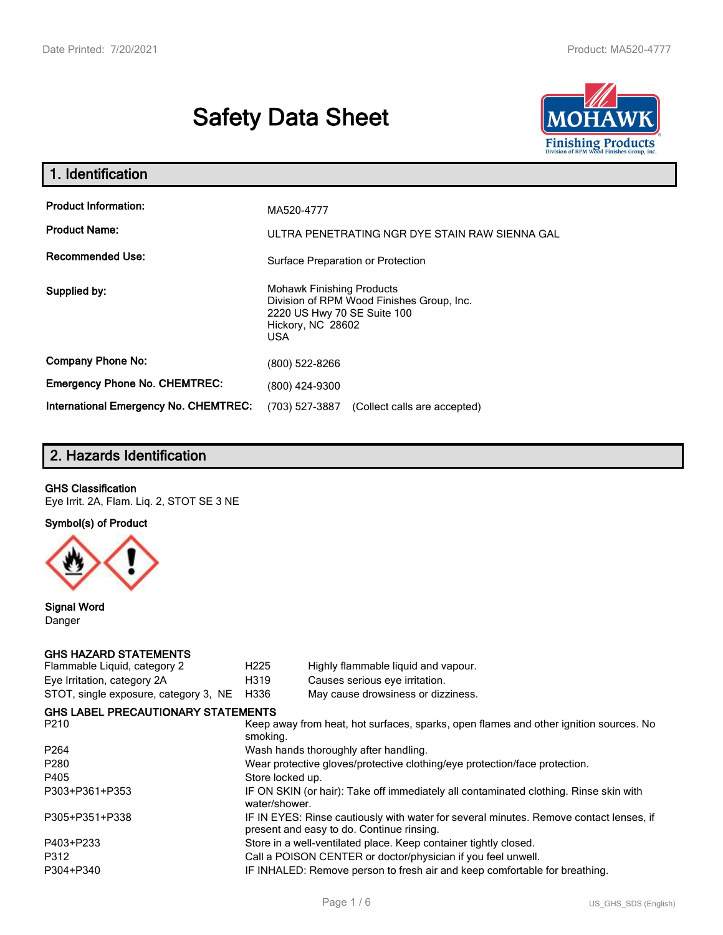# **Safety Data Sheet**



| 1. Identification                                   |                                                                                                                                                 |
|-----------------------------------------------------|-------------------------------------------------------------------------------------------------------------------------------------------------|
| <b>Product Information:</b><br><b>Product Name:</b> | MA520-4777<br>ULTRA PENETRATING NGR DYE STAIN RAW SIENNA GAL                                                                                    |
| <b>Recommended Use:</b>                             | Surface Preparation or Protection                                                                                                               |
| Supplied by:                                        | <b>Mohawk Finishing Products</b><br>Division of RPM Wood Finishes Group, Inc.<br>2220 US Hwy 70 SE Suite 100<br>Hickory, NC 28602<br><b>USA</b> |
| <b>Company Phone No:</b>                            | (800) 522-8266                                                                                                                                  |
| <b>Emergency Phone No. CHEMTREC:</b>                | (800) 424-9300                                                                                                                                  |
| International Emergency No. CHEMTREC:               | (703) 527-3887<br>(Collect calls are accepted)                                                                                                  |

# **2. Hazards Identification**

### **GHS Classification**

Eye Irrit. 2A, Flam. Liq. 2, STOT SE 3 NE

**Symbol(s) of Product**



**Signal Word** Danger

### **GHS HAZARD STATEMENTS**

| H <sub>225</sub> | Highly flammable liquid and vapour.                                                                                                 |
|------------------|-------------------------------------------------------------------------------------------------------------------------------------|
| H319             | Causes serious eye irritation.                                                                                                      |
| H336             | May cause drowsiness or dizziness.                                                                                                  |
|                  |                                                                                                                                     |
| smoking.         | Keep away from heat, hot surfaces, sparks, open flames and other ignition sources. No                                               |
|                  | Wash hands thoroughly after handling.                                                                                               |
|                  | Wear protective gloves/protective clothing/eye protection/face protection.                                                          |
| Store locked up. |                                                                                                                                     |
| water/shower.    | IF ON SKIN (or hair): Take off immediately all contaminated clothing. Rinse skin with                                               |
|                  | IF IN EYES: Rinse cautiously with water for several minutes. Remove contact lenses, if<br>present and easy to do. Continue rinsing. |
|                  | Store in a well-ventilated place. Keep container tightly closed.                                                                    |
|                  | Call a POISON CENTER or doctor/physician if you feel unwell.                                                                        |
|                  | IF INHALED: Remove person to fresh air and keep comfortable for breathing.                                                          |
|                  | <b>GHS LABEL PRECAUTIONARY STATEMENTS</b>                                                                                           |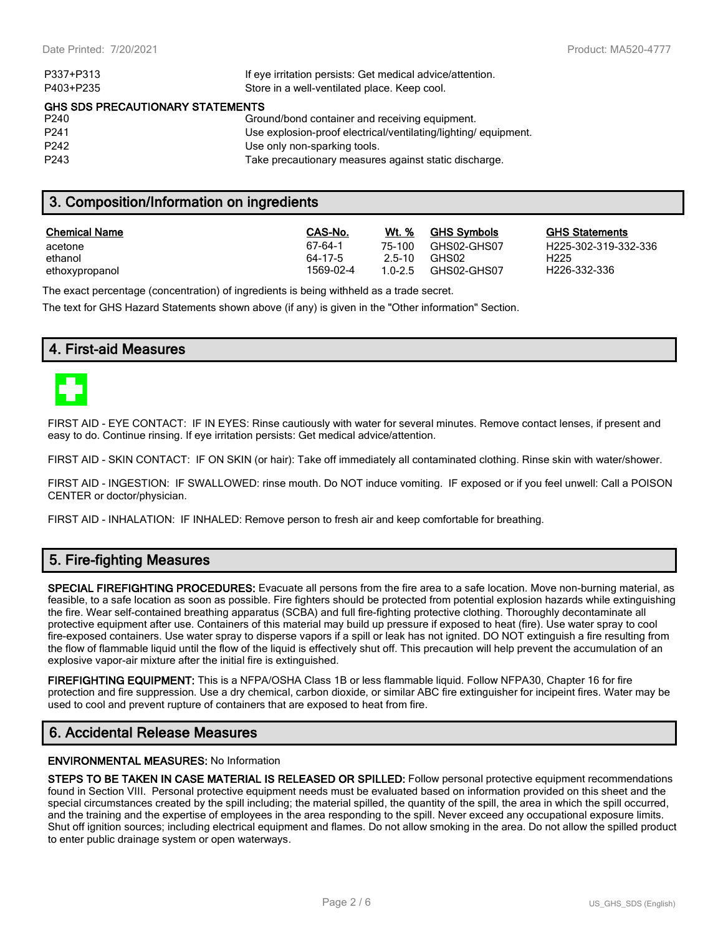| P337+P313                               | If eye irritation persists: Get medical advice/attention.      |  |  |  |
|-----------------------------------------|----------------------------------------------------------------|--|--|--|
| P403+P235                               | Store in a well-ventilated place. Keep cool.                   |  |  |  |
| <b>GHS SDS PRECAUTIONARY STATEMENTS</b> |                                                                |  |  |  |
| P240                                    | Ground/bond container and receiving equipment.                 |  |  |  |
| P <sub>241</sub>                        | Use explosion-proof electrical/ventilating/lighting/equipment. |  |  |  |
| P <sub>242</sub>                        | Use only non-sparking tools.                                   |  |  |  |
| P <sub>243</sub>                        | Take precautionary measures against static discharge.          |  |  |  |
|                                         |                                                                |  |  |  |

# **3. Composition/Information on ingredients**

| <b>Chemical Name</b> | CAS-No.   | Wt. %  | <b>GHS Symbols</b> | GHS  |
|----------------------|-----------|--------|--------------------|------|
| acetone              | 67-64-1   | 75-100 | GHS02-GHS07        | H225 |
| ethanol              | 64-17-5   | 2.5-10 | GHS02              | H225 |
| ethoxypropanol       | 1569-02-4 | 10-25  | GHS02-GHS07        | H226 |

**GHS Statements** H225-302-319-332-336 H226-332-336

The exact percentage (concentration) of ingredients is being withheld as a trade secret.

The text for GHS Hazard Statements shown above (if any) is given in the "Other information" Section.

### **4. First-aid Measures**



FIRST AID - EYE CONTACT: IF IN EYES: Rinse cautiously with water for several minutes. Remove contact lenses, if present and easy to do. Continue rinsing. If eye irritation persists: Get medical advice/attention.

FIRST AID - SKIN CONTACT: IF ON SKIN (or hair): Take off immediately all contaminated clothing. Rinse skin with water/shower.

FIRST AID - INGESTION: IF SWALLOWED: rinse mouth. Do NOT induce vomiting. IF exposed or if you feel unwell: Call a POISON CENTER or doctor/physician.

FIRST AID - INHALATION: IF INHALED: Remove person to fresh air and keep comfortable for breathing.

# **5. Fire-fighting Measures**

**SPECIAL FIREFIGHTING PROCEDURES:** Evacuate all persons from the fire area to a safe location. Move non-burning material, as feasible, to a safe location as soon as possible. Fire fighters should be protected from potential explosion hazards while extinguishing the fire. Wear self-contained breathing apparatus (SCBA) and full fire-fighting protective clothing. Thoroughly decontaminate all protective equipment after use. Containers of this material may build up pressure if exposed to heat (fire). Use water spray to cool fire-exposed containers. Use water spray to disperse vapors if a spill or leak has not ignited. DO NOT extinguish a fire resulting from the flow of flammable liquid until the flow of the liquid is effectively shut off. This precaution will help prevent the accumulation of an explosive vapor-air mixture after the initial fire is extinguished.

**FIREFIGHTING EQUIPMENT:** This is a NFPA/OSHA Class 1B or less flammable liquid. Follow NFPA30, Chapter 16 for fire protection and fire suppression. Use a dry chemical, carbon dioxide, or similar ABC fire extinguisher for incipeint fires. Water may be used to cool and prevent rupture of containers that are exposed to heat from fire.

### **6. Accidental Release Measures**

### **ENVIRONMENTAL MEASURES:** No Information

**STEPS TO BE TAKEN IN CASE MATERIAL IS RELEASED OR SPILLED:** Follow personal protective equipment recommendations found in Section VIII. Personal protective equipment needs must be evaluated based on information provided on this sheet and the special circumstances created by the spill including; the material spilled, the quantity of the spill, the area in which the spill occurred, and the training and the expertise of employees in the area responding to the spill. Never exceed any occupational exposure limits. Shut off ignition sources; including electrical equipment and flames. Do not allow smoking in the area. Do not allow the spilled product to enter public drainage system or open waterways.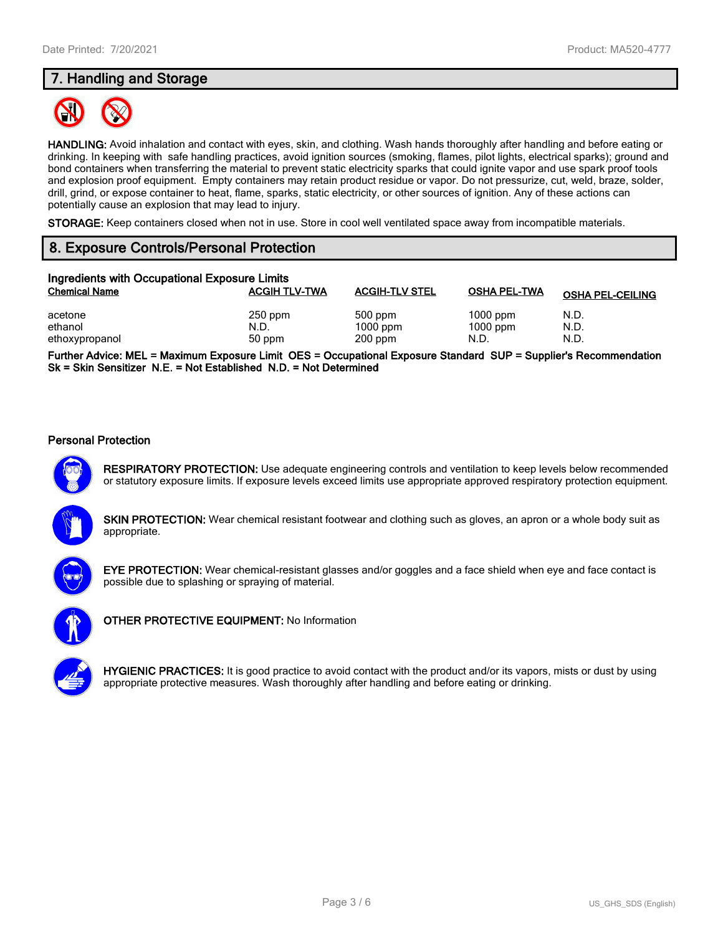# **7. Handling and Storage**



**HANDLING:** Avoid inhalation and contact with eyes, skin, and clothing. Wash hands thoroughly after handling and before eating or drinking. In keeping with safe handling practices, avoid ignition sources (smoking, flames, pilot lights, electrical sparks); ground and bond containers when transferring the material to prevent static electricity sparks that could ignite vapor and use spark proof tools and explosion proof equipment. Empty containers may retain product residue or vapor. Do not pressurize, cut, weld, braze, solder, drill, grind, or expose container to heat, flame, sparks, static electricity, or other sources of ignition. Any of these actions can potentially cause an explosion that may lead to injury.

**STORAGE:** Keep containers closed when not in use. Store in cool well ventilated space away from incompatible materials.

## **8. Exposure Controls/Personal Protection**

| Ingredients with Occupational Exposure Limits |                             |                                    |                                  |                         |  |  |  |
|-----------------------------------------------|-----------------------------|------------------------------------|----------------------------------|-------------------------|--|--|--|
| <b>Chemical Name</b>                          | <b>ACGIH TLV-TWA</b>        | <b>ACGIH-TLV STEL</b>              | <b>OSHA PEL-TWA</b>              | <b>OSHA PEL-CEILING</b> |  |  |  |
| acetone<br>ethanol<br>ethoxypropanol          | $250$ ppm<br>N.D.<br>50 ppm | 500 ppm<br>$1000$ ppm<br>$200$ ppm | $1000$ ppm<br>$1000$ ppm<br>N.D. | N.D.<br>N.D.<br>N.D.    |  |  |  |

**Further Advice: MEL = Maximum Exposure Limit OES = Occupational Exposure Standard SUP = Supplier's Recommendation Sk = Skin Sensitizer N.E. = Not Established N.D. = Not Determined**

### **Personal Protection**



**RESPIRATORY PROTECTION:** Use adequate engineering controls and ventilation to keep levels below recommended or statutory exposure limits. If exposure levels exceed limits use appropriate approved respiratory protection equipment.

**SKIN PROTECTION:** Wear chemical resistant footwear and clothing such as gloves, an apron or a whole body suit as appropriate.



**EYE PROTECTION:** Wear chemical-resistant glasses and/or goggles and a face shield when eye and face contact is possible due to splashing or spraying of material.



**OTHER PROTECTIVE EQUIPMENT:** No Information

**HYGIENIC PRACTICES:** It is good practice to avoid contact with the product and/or its vapors, mists or dust by using appropriate protective measures. Wash thoroughly after handling and before eating or drinking.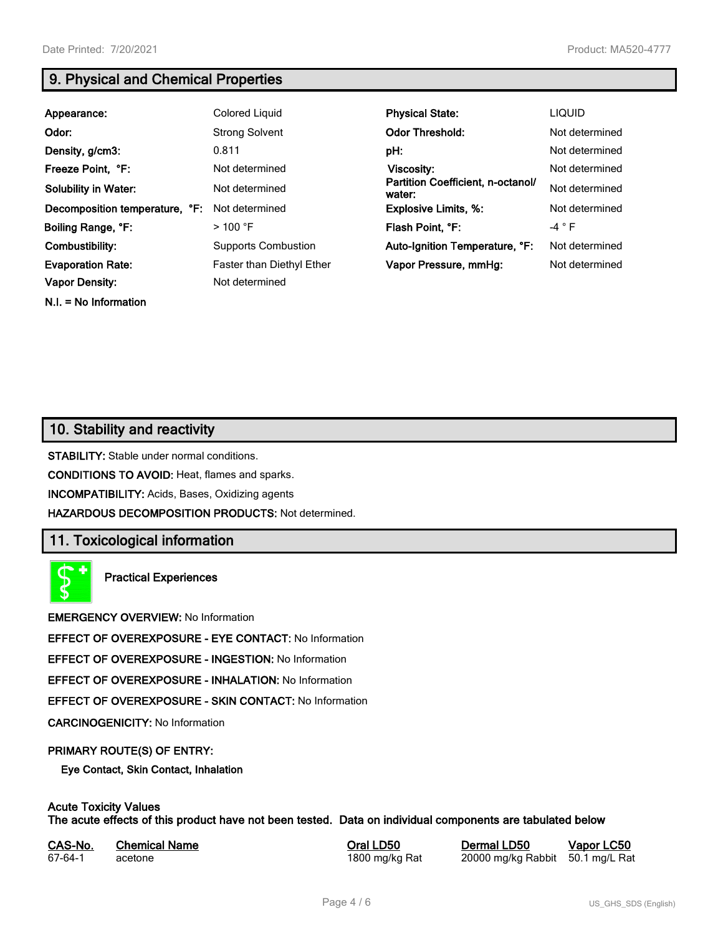**N.I. = No Information**

# **9. Physical and Chemical Properties**

| Appearance:                    | Colored Liquid                   | <b>Physical State:</b>                      | <b>LIQUID</b>   |
|--------------------------------|----------------------------------|---------------------------------------------|-----------------|
| Odor:                          | <b>Strong Solvent</b>            | <b>Odor Threshold:</b>                      | Not determined  |
| Density, g/cm3:                | 0.811                            | pH:                                         | Not determined  |
| Freeze Point, °F:              | Not determined                   | Viscosity:                                  | Not determined  |
| <b>Solubility in Water:</b>    | Not determined                   | Partition Coefficient, n-octanol/<br>water: | Not determined  |
| Decomposition temperature, °F: | Not determined                   | <b>Explosive Limits, %:</b>                 | Not determined  |
| Boiling Range, °F:             | $>$ 100 °F                       | Flash Point, °F:                            | -4 $^{\circ}$ F |
| Combustibility:                | <b>Supports Combustion</b>       | Auto-Ignition Temperature, °F:              | Not determined  |
| <b>Evaporation Rate:</b>       | <b>Faster than Diethyl Ether</b> | Vapor Pressure, mmHg:                       | Not determined  |
| <b>Vapor Density:</b>          | Not determined                   |                                             |                 |

## **10. Stability and reactivity**

**STABILITY:** Stable under normal conditions.

**CONDITIONS TO AVOID:** Heat, flames and sparks.

**INCOMPATIBILITY:** Acids, Bases, Oxidizing agents

**HAZARDOUS DECOMPOSITION PRODUCTS:** Not determined.

## **11. Toxicological information**

**Practical Experiences**

**EMERGENCY OVERVIEW:** No Information

**EFFECT OF OVEREXPOSURE - EYE CONTACT:** No Information

**EFFECT OF OVEREXPOSURE - INGESTION:** No Information

**EFFECT OF OVEREXPOSURE - INHALATION:** No Information

**EFFECT OF OVEREXPOSURE - SKIN CONTACT:** No Information

**CARCINOGENICITY:** No Information

### **PRIMARY ROUTE(S) OF ENTRY:**

**Eye Contact, Skin Contact, Inhalation**

# **Acute Toxicity Values**

**The acute effects of this product have not been tested. Data on individual components are tabulated below**

| CAS-No. | <b>Chemical Name</b> |  |
|---------|----------------------|--|
| 67-64-1 | acetone              |  |

**Casary Chemical Chemical LD50 Chemical LD50 Vapor LC50** 1800 mg/kg Rat 20000 mg/kg Rabbit 50.1 mg/L Rat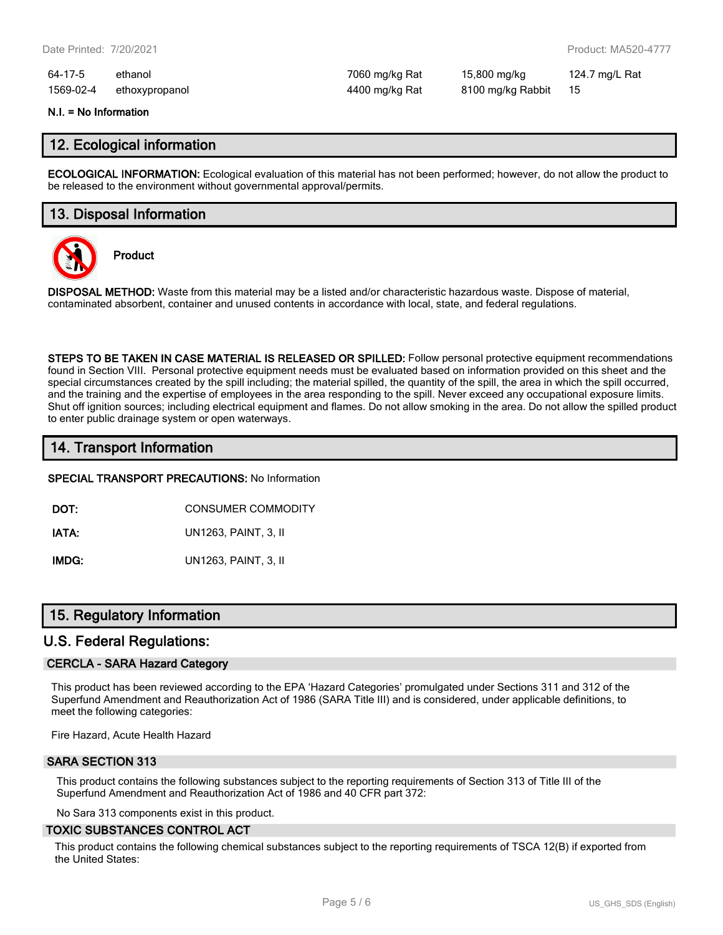64-17-5 ethanol 7060 mg/kg Rat 15,800 mg/kg 124.7 mg/L Rat 1569-02-4 ethoxypropanol 4400 mg/kg Rat 8100 mg/kg Rabbit 15

# **N.I. = No Information**

### **12. Ecological information**

**ECOLOGICAL INFORMATION:** Ecological evaluation of this material has not been performed; however, do not allow the product to be released to the environment without governmental approval/permits.

### **13. Disposal Information**



**Product**

**DISPOSAL METHOD:** Waste from this material may be a listed and/or characteristic hazardous waste. Dispose of material, contaminated absorbent, container and unused contents in accordance with local, state, and federal regulations.

**STEPS TO BE TAKEN IN CASE MATERIAL IS RELEASED OR SPILLED:** Follow personal protective equipment recommendations found in Section VIII. Personal protective equipment needs must be evaluated based on information provided on this sheet and the special circumstances created by the spill including; the material spilled, the quantity of the spill, the area in which the spill occurred, and the training and the expertise of employees in the area responding to the spill. Never exceed any occupational exposure limits. Shut off ignition sources; including electrical equipment and flames. Do not allow smoking in the area. Do not allow the spilled product to enter public drainage system or open waterways.

# **14. Transport Information**

**SPECIAL TRANSPORT PRECAUTIONS:** No Information

**DOT:** CONSUMER COMMODITY

**IATA:** UN1263, PAINT, 3, II

**IMDG:** UN1263, PAINT, 3, II

### **15. Regulatory Information**

### **U.S. Federal Regulations:**

### **CERCLA - SARA Hazard Category**

This product has been reviewed according to the EPA 'Hazard Categories' promulgated under Sections 311 and 312 of the Superfund Amendment and Reauthorization Act of 1986 (SARA Title III) and is considered, under applicable definitions, to meet the following categories:

Fire Hazard, Acute Health Hazard

### **SARA SECTION 313**

This product contains the following substances subject to the reporting requirements of Section 313 of Title III of the Superfund Amendment and Reauthorization Act of 1986 and 40 CFR part 372:

No Sara 313 components exist in this product.

### **TOXIC SUBSTANCES CONTROL ACT**

This product contains the following chemical substances subject to the reporting requirements of TSCA 12(B) if exported from the United States: